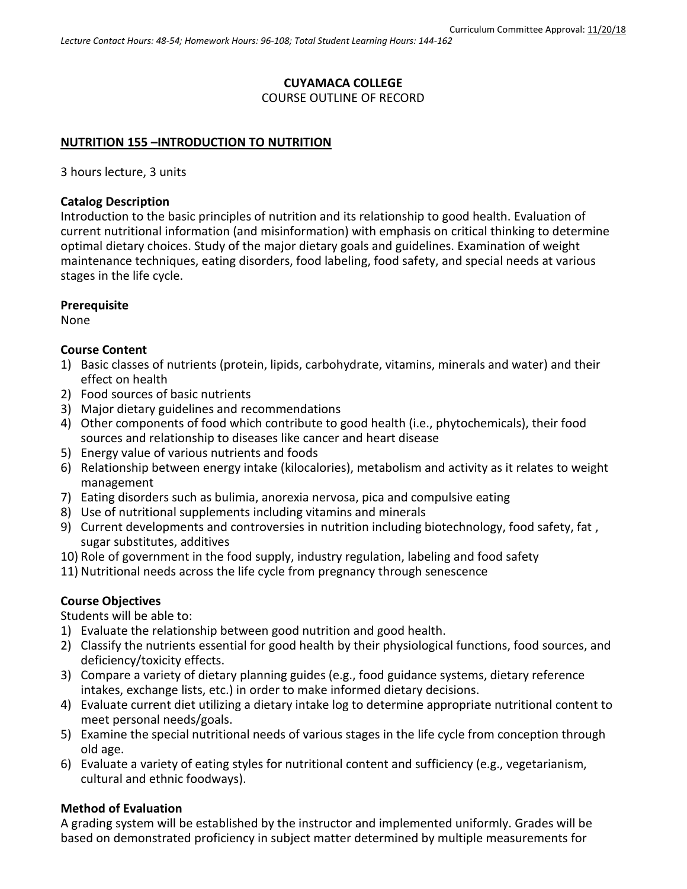### **CUYAMACA COLLEGE**

COURSE OUTLINE OF RECORD

### **NUTRITION 155 –INTRODUCTION TO NUTRITION**

3 hours lecture, 3 units

#### **Catalog Description**

Introduction to the basic principles of nutrition and its relationship to good health. Evaluation of current nutritional information (and misinformation) with emphasis on critical thinking to determine optimal dietary choices. Study of the major dietary goals and guidelines. Examination of weight maintenance techniques, eating disorders, food labeling, food safety, and special needs at various stages in the life cycle.

### **Prerequisite**

None

### **Course Content**

- 1) Basic classes of nutrients (protein, lipids, carbohydrate, vitamins, minerals and water) and their effect on health
- 2) Food sources of basic nutrients
- 3) Major dietary guidelines and recommendations
- 4) Other components of food which contribute to good health (i.e., phytochemicals), their food sources and relationship to diseases like cancer and heart disease
- 5) Energy value of various nutrients and foods
- 6) Relationship between energy intake (kilocalories), metabolism and activity as it relates to weight management
- 7) Eating disorders such as bulimia, anorexia nervosa, pica and compulsive eating
- 8) Use of nutritional supplements including vitamins and minerals
- 9) Current developments and controversies in nutrition including biotechnology, food safety, fat , sugar substitutes, additives
- 10) Role of government in the food supply, industry regulation, labeling and food safety
- 11) Nutritional needs across the life cycle from pregnancy through senescence

## **Course Objectives**

Students will be able to:

- 1) Evaluate the relationship between good nutrition and good health.
- 2) Classify the nutrients essential for good health by their physiological functions, food sources, and deficiency/toxicity effects.
- 3) Compare a variety of dietary planning guides (e.g., food guidance systems, dietary reference intakes, exchange lists, etc.) in order to make informed dietary decisions.
- 4) Evaluate current diet utilizing a dietary intake log to determine appropriate nutritional content to meet personal needs/goals.
- 5) Examine the special nutritional needs of various stages in the life cycle from conception through old age.
- 6) Evaluate a variety of eating styles for nutritional content and sufficiency (e.g., vegetarianism, cultural and ethnic foodways).

## **Method of Evaluation**

A grading system will be established by the instructor and implemented uniformly. Grades will be based on demonstrated proficiency in subject matter determined by multiple measurements for